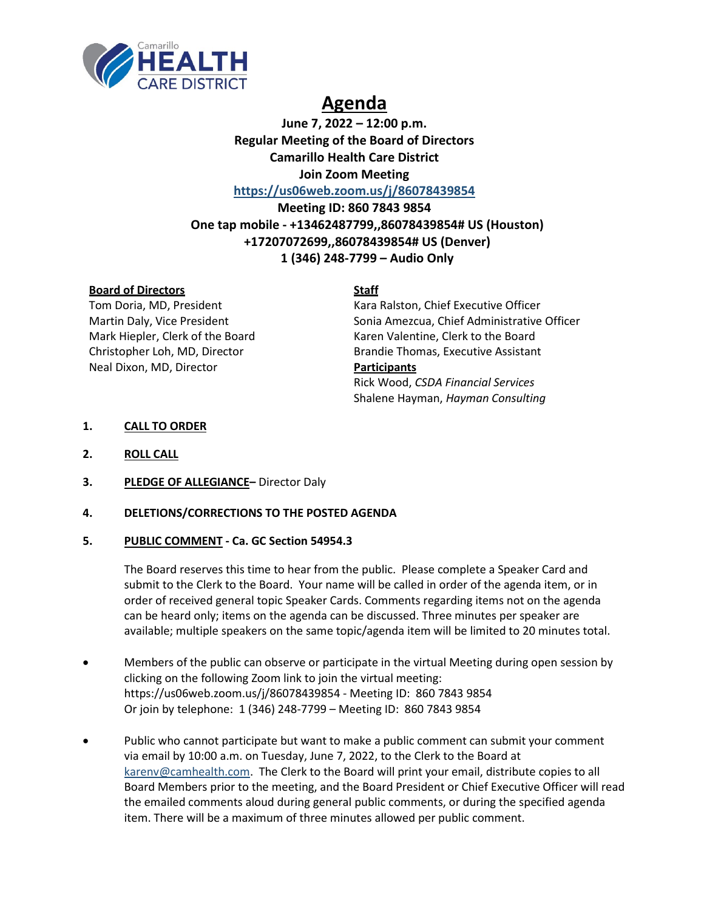

# **Agenda**

**June 7, 2022 – 12:00 p.m. Regular Meeting of the Board of Directors Camarillo Health Care District Join Zoom Meeting <https://us06web.zoom.us/j/86078439854>**

**Meeting ID: 860 7843 9854 One tap mobile - +13462487799,,86078439854# US (Houston) +17207072699,,86078439854# US (Denver) 1 (346) 248-7799 – Audio Only**

# **Board of Directors Staff**

Neal Dixon, MD, Director **Participants**

Tom Doria, MD, President Kara Ralston, Chief Executive Officer Martin Daly, Vice President Sonia Amezcua, Chief Administrative Officer Mark Hiepler, Clerk of the Board Karen Valentine, Clerk to the Board Christopher Loh, MD, Director Brandie Thomas, Executive Assistant Rick Wood, *CSDA Financial Services* Shalene Hayman, *Hayman Consulting*

# **1. CALL TO ORDER**

- **2. ROLL CALL**
- **3. PLEDGE OF ALLEGIANCE–** Director Daly

# **4. DELETIONS/CORRECTIONS TO THE POSTED AGENDA**

# **5. PUBLIC COMMENT - Ca. GC Section 54954.3**

The Board reserves this time to hear from the public. Please complete a Speaker Card and submit to the Clerk to the Board. Your name will be called in order of the agenda item, or in order of received general topic Speaker Cards. Comments regarding items not on the agenda can be heard only; items on the agenda can be discussed. Three minutes per speaker are available; multiple speakers on the same topic/agenda item will be limited to 20 minutes total.

- Members of the public can observe or participate in the virtual Meeting during open session by clicking on the following Zoom link to join the virtual meeting: https://us06web.zoom.us/j/86078439854 - Meeting ID: 860 7843 9854 Or join by telephone: 1 (346) 248-7799 – Meeting ID: 860 7843 9854
- Public who cannot participate but want to make a public comment can submit your comment via email by 10:00 a.m. on Tuesday, June 7, 2022, to the Clerk to the Board at [karenv@camhealth.com.](mailto:karenv@camhealth.com) The Clerk to the Board will print your email, distribute copies to all Board Members prior to the meeting, and the Board President or Chief Executive Officer will read the emailed comments aloud during general public comments, or during the specified agenda item. There will be a maximum of three minutes allowed per public comment.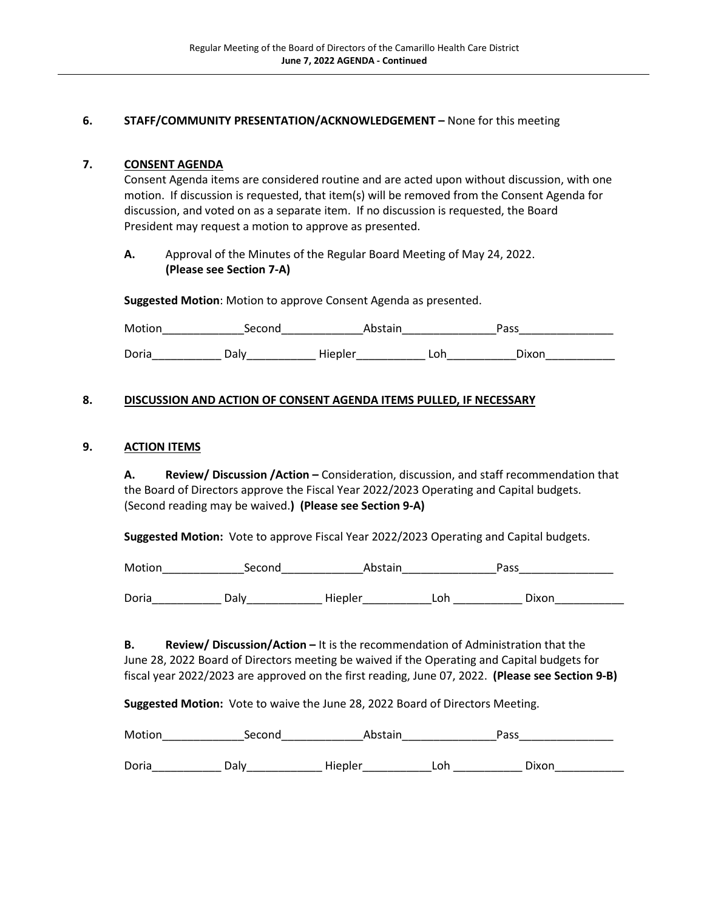# **6. STAFF/COMMUNITY PRESENTATION/ACKNOWLEDGEMENT –** None for this meeting

# **7. CONSENT AGENDA**

Consent Agenda items are considered routine and are acted upon without discussion, with one motion. If discussion is requested, that item(s) will be removed from the Consent Agenda for discussion, and voted on as a separate item. If no discussion is requested, the Board President may request a motion to approve as presented.

**A.** Approval of the Minutes of the Regular Board Meeting of May 24, 2022. **(Please see Section 7-A)** 

**Suggested Motion**: Motion to approve Consent Agenda as presented.

Motion Second Abstain Pass Doria Colly Daly Hiepler Loh Dixon

# **8. DISCUSSION AND ACTION OF CONSENT AGENDA ITEMS PULLED, IF NECESSARY**

#### **9. ACTION ITEMS**

**A. Review/ Discussion /Action –** Consideration, discussion, and staff recommendation that the Board of Directors approve the Fiscal Year 2022/2023 Operating and Capital budgets. (Second reading may be waived.**) (Please see Section 9-A)**

**Suggested Motion:** Vote to approve Fiscal Year 2022/2023 Operating and Capital budgets.

Motion\_\_\_\_\_\_\_\_\_\_\_\_\_Second\_\_\_\_\_\_\_\_\_\_\_\_\_Abstain\_\_\_\_\_\_\_\_\_\_\_\_\_\_\_Pass\_\_\_\_\_\_\_\_\_\_\_\_\_\_\_

Doria\_\_\_\_\_\_\_\_\_\_\_\_\_\_ Daly\_\_\_\_\_\_\_\_\_\_\_\_\_\_\_\_Hiepler\_\_\_\_\_\_\_\_\_\_\_\_\_\_Loh \_\_\_\_\_\_\_\_\_\_\_\_\_\_\_ Dixon\_\_\_\_\_\_\_\_\_\_\_\_\_

**B. Review/ Discussion/Action –** It is the recommendation of Administration that the June 28, 2022 Board of Directors meeting be waived if the Operating and Capital budgets for fiscal year 2022/2023 are approved on the first reading, June 07, 2022. **(Please see Section 9-B)**

**Suggested Motion:** Vote to waive the June 28, 2022 Board of Directors Meeting.

| Motion | Second | Abstain |     | Pass  |  |
|--------|--------|---------|-----|-------|--|
| Doria  | Dalv.  | Hiepler | Loh | Dixon |  |
|        |        |         |     |       |  |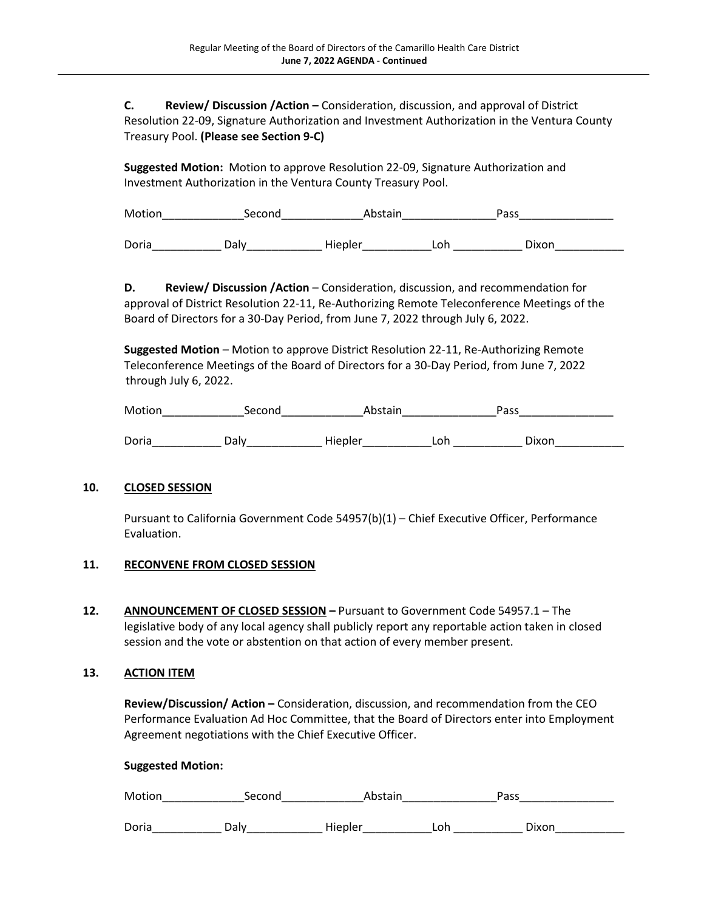**C. Review/ Discussion /Action –** Consideration, discussion, and approval of District Resolution 22-09, Signature Authorization and Investment Authorization in the Ventura County Treasury Pool. **(Please see Section 9-C)**

**Suggested Motion:** Motion to approve Resolution 22-09, Signature Authorization and Investment Authorization in the Ventura County Treasury Pool.

Motion\_\_\_\_\_\_\_\_\_\_\_\_\_Second\_\_\_\_\_\_\_\_\_\_\_\_\_Abstain\_\_\_\_\_\_\_\_\_\_\_\_\_\_\_Pass\_\_\_\_\_\_\_\_\_\_\_\_\_\_\_ Doria Composition Daly Miepler Loh Loh Dixon

**D. Review/ Discussion /Action** – Consideration, discussion, and recommendation for approval of District Resolution 22-11, Re-Authorizing Remote Teleconference Meetings of the Board of Directors for a 30-Day Period, from June 7, 2022 through July 6, 2022.

**Suggested Motion** – Motion to approve District Resolution 22-11, Re-Authorizing Remote Teleconference Meetings of the Board of Directors for a 30-Day Period, from June 7, 2022 through July 6, 2022.

| Motion | Second | Abstain |     | Pass  |  |
|--------|--------|---------|-----|-------|--|
| Doria  | Dalv   | Hiepler | Loh | Dixon |  |

# **10. CLOSED SESSION**

Pursuant to California Government Code 54957(b)(1) – Chief Executive Officer, Performance Evaluation.

#### **11. RECONVENE FROM CLOSED SESSION**

**12. ANNOUNCEMENT OF CLOSED SESSION –** Pursuant to Government Code 54957.1 – The legislative body of any local agency shall publicly report any reportable action taken in closed session and the vote or abstention on that action of every member present.

#### **13. ACTION ITEM**

**Review/Discussion/ Action –** Consideration, discussion, and recommendation from the CEO Performance Evaluation Ad Hoc Committee, that the Board of Directors enter into Employment Agreement negotiations with the Chief Executive Officer.

#### **Suggested Motion:**

| Motion | Seconc | Abstain |     | Pass  |  |
|--------|--------|---------|-----|-------|--|
| Doria  | Dalv.  | Hiepler | Loh | Dixon |  |